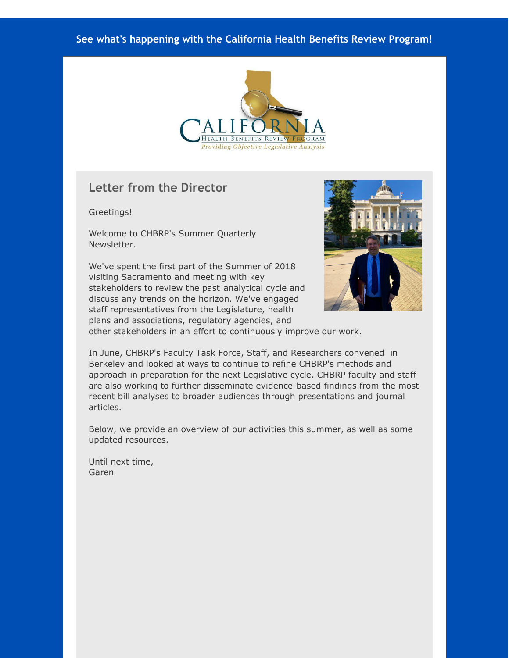#### **See what's happening with the California Health Benefits Review Program!**



### **Letter from the Director**

Greetings!

Welcome to CHBRP's Summer Quarterly Newsletter.

We've spent the first part of the Summer of 2018 visiting Sacramento and meeting with key stakeholders to review the past analytical cycle and discuss any trends on the horizon. We've engaged staff representatives from the Legislature, health plans and associations, regulatory agencies, and



other stakeholders in an effort to continuously improve our work.

In June, CHBRP's Faculty Task Force, Staff, and Researchers convened in Berkeley and looked at ways to continue to refine CHBRP's methods and approach in preparation for the next Legislative cycle. CHBRP faculty and staff are also working to further disseminate evidence-based findings from the most recent bill analyses to broader audiences through presentations and journal articles.

Below, we provide an overview of our activities this summer, as well as some updated resources.

Until next time, Garen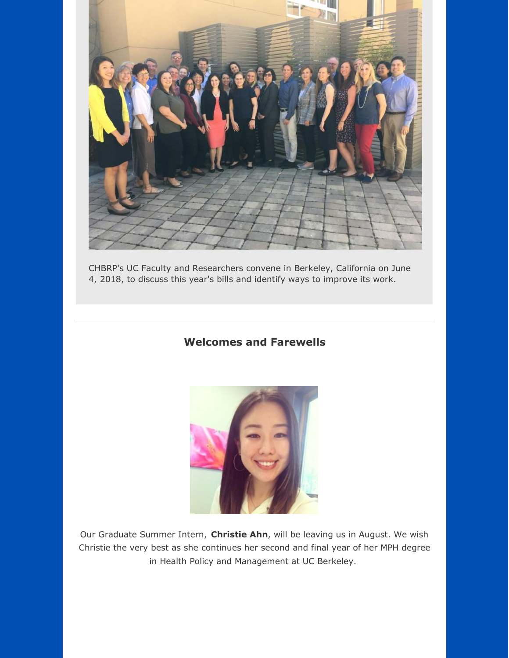

CHBRP's UC Faculty and Researchers convene in Berkeley, California on June 4, 2018, to discuss this year's bills and identify ways to improve its work.

#### **Welcomes and Farewells**



Our Graduate Summer Intern, **Christie Ahn**, will be leaving us in August. We wish Christie the very best as she continues her second and final year of her MPH degree in Health Policy and Management at UC Berkeley.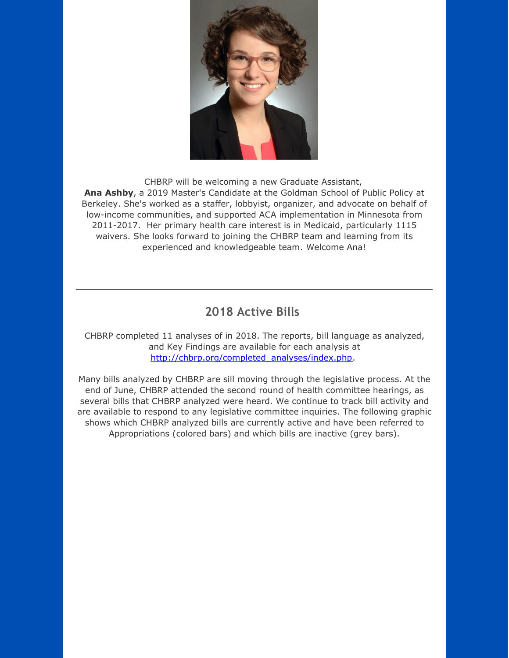

CHBRP will be welcoming a new Graduate Assistant, **Ana Ashby**, a 2019 Master's Candidate at the Goldman School of Public Policy at Berkeley. She's worked as a staffer, lobbyist, organizer, and advocate on behalf of low-income communities, and supported ACA implementation in Minnesota from 2011-2017. Her primary health care interest is in Medicaid, particularly 1115 waivers. She looks forward to joining the CHBRP team and learning from its experienced and knowledgeable team. Welcome Ana!

# **2018 Active Bills**

CHBRP completed 11 analyses of in 2018. The reports, bill language as analyzed, and Key Findings are available for each analysis at [http://chbrp.org/completed\\_analyses/index.php](http://r20.rs6.net/tn.jsp?f=001rrvbSlmsJN-9gKzpv7QxVNNhMRVMwilWGH99_-CIA5y3qdwkZdlKjF4x-WtluzxwFRPT1dXlD_i3S-cHb1RoOsdwk4SLpOu5AXQhqpVryUnPJJvFNdoK5arBEJhJ2yGITiw4lixY_LCkjAfz0oLOUaBQiJs1hlZUhyGq88PDCpeGdLMZeRhtbIC7OaDinPZNyl0ewrBEt4Kf0qqk8xmkh67-zIFdEKE2--9g-oF8jelMZh_8FcuoGZ5Uh-Zh24JbPh-uktmtQzMVAVelmLoQ6qxyMzKOYy_bSjLVelCBC54GwwXnMjdhPy0VJAOHvQvBwlr7iJzRn-QQPu39gUqLs481edBAYbFM&c=&ch=).

Many bills analyzed by CHBRP are sill moving through the legislative process. At the end of June, CHBRP attended the second round of health committee hearings, as several bills that CHBRP analyzed were heard. We continue to track bill activity and are available to respond to any legislative committee inquiries. The following graphic shows which CHBRP analyzed bills are currently active and have been referred to Appropriations (colored bars) and which bills are inactive (grey bars).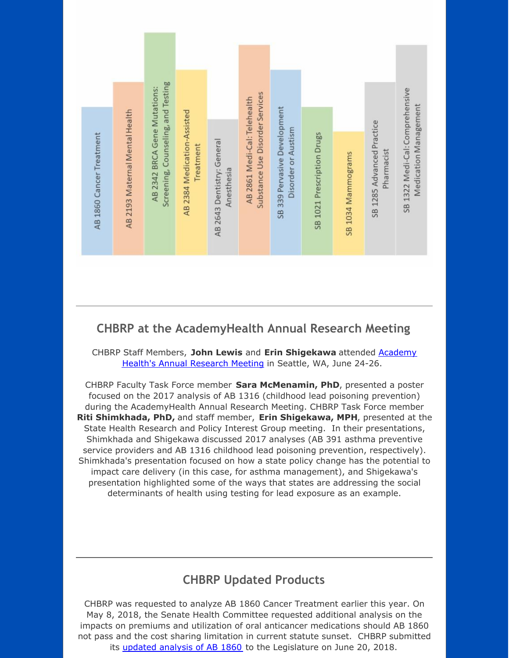

## **CHBRP at the AcademyHealth Annual Research Meeting**

CHBRP Staff Members, **John Lewis** and **Erin [Shigekawa](http://r20.rs6.net/tn.jsp?f=001rrvbSlmsJN-9gKzpv7QxVNNhMRVMwilWGH99_-CIA5y3qdwkZdlKjF4x-WtluzxwNDKVDNIETUo_4WjbP_uTZxZ0hPScSWF4JQvSHFDzROFg8rAS6KQgv-oHDIObWVEAjd2gGnH9KgEyVNnA4t3nXFaVYt1qCjVHpmAVgtSU5XIuyBZqmFge7sMUBRKoS17Q4vLHAIvBYxYK1qdRs4u75cppA8Uv2mDuMh_rPk8lv-KDIoJxe4Re1W_h4Kpi5nEy5lpZVvAPYRacrWX-VSlmWQ8MtGwSrSMJDrAegDmrpeWRrCTO5RlPJ2A-I-EIIuwhk-AbhdmQfUsTwRGxbfVmuu0lz5XVNi8ctntkKc0_wdjLSwet0LUXxV6PNpVs2UJH8CGRPTTLPTI=&c=&ch=)** attended Academy Health's Annual Research Meeting in Seattle, WA, June 24-26.

CHBRP Faculty Task Force member **Sara McMenamin, PhD**, presented a poster focused on the 2017 analysis of AB 1316 (childhood lead poisoning prevention) during the AcademyHealth Annual Research Meeting. CHBRP Task Force member **Riti Shimkhada, PhD,** and staff member, **Erin Shigekawa, MPH**, presented at the State Health Research and Policy Interest Group meeting. In their presentations, Shimkhada and Shigekawa discussed 2017 analyses (AB 391 asthma preventive service providers and AB 1316 childhood lead poisoning prevention, respectively). Shimkhada's presentation focused on how a state policy change has the potential to impact care delivery (in this case, for asthma management), and Shigekawa's presentation highlighted some of the ways that states are addressing the social determinants of health using testing for lead exposure as an example.

## **CHBRP Updated Products**

CHBRP was requested to analyze AB 1860 Cancer Treatment earlier this year. On May 8, 2018, the Senate Health Committee requested additional analysis on the impacts on premiums and utilization of oral anticancer medications should AB 1860 not pass and the cost sharing limitation in current statute sunset. CHBRP submitted its [updated](http://r20.rs6.net/tn.jsp?f=001rrvbSlmsJN-9gKzpv7QxVNNhMRVMwilWGH99_-CIA5y3qdwkZdlKjCLayuqMs4rhdsMTvgnT-v3UR8QHWZh-JJcLwh9LF9P1CUC4XQmixnCeAyRDxShJDP5X98MwOqY0_9pLtIfGPOe96FlTYybuN_7xb_VELCKFAfBJRKXEUUjgh-Pyf-p2un_55_9-yQjxj2Xp4Jm2aYLEPGnQL6hhPJ4lwwMBGqmFRYmyBqSFj8dvqUDqQxEZ8gYi7OjY7mzE8IxdzMTtYtG99Zhbyj2MmkLP-HBd0r_mNR1iAEvpMxr660UKRaBcw_96h9kIUbkstFdprOIDiAENJpa4a-nZQ3jxc-k3t1lr1SIYV4CH1jg=&c=&ch=) analysis of AB 1860 to the Legislature on June 20, 2018.